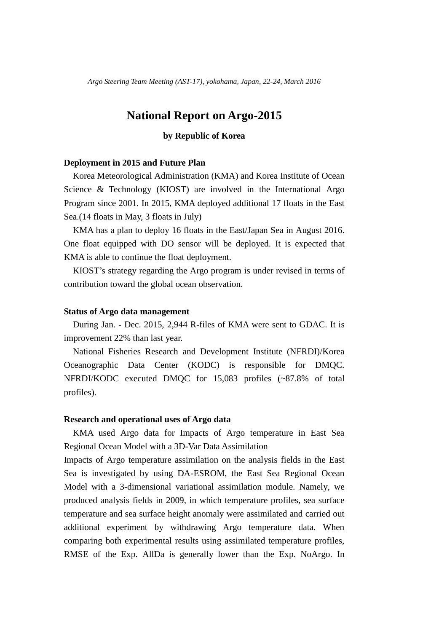*Argo Steering Team Meeting (AST-17), yokohama, Japan, 22-24, March 2016*

# **National Report on Argo-2015**

## **by Republic of Korea**

## **Deployment in 2015 and Future Plan**

Korea Meteorological Administration (KMA) and Korea Institute of Ocean Science & Technology (KIOST) are involved in the International Argo Program since 2001. In 2015, KMA deployed additional 17 floats in the East Sea.(14 floats in May, 3 floats in July)

KMA has a plan to deploy 16 floats in the East/Japan Sea in August 2016. One float equipped with DO sensor will be deployed. It is expected that KMA is able to continue the float deployment.

KIOST's strategy regarding the Argo program is under revised in terms of contribution toward the global ocean observation.

#### **Status of Argo data management**

During Jan. - Dec. 2015, 2,944 R-files of KMA were sent to GDAC. It is improvement 22% than last year.

National Fisheries Research and Development Institute (NFRDI)/Korea Oceanographic Data Center (KODC) is responsible for DMQC. NFRDI/KODC executed DMQC for 15,083 profiles (~87.8% of total profiles).

## **Research and operational uses of Argo data**

KMA used Argo data for Impacts of Argo temperature in East Sea Regional Ocean Model with a 3D-Var Data Assimilation

Impacts of Argo temperature assimilation on the analysis fields in the East Sea is investigated by using DA-ESROM, the East Sea Regional Ocean Model with a 3-dimensional variational assimilation module. Namely, we produced analysis fields in 2009, in which temperature profiles, sea surface temperature and sea surface height anomaly were assimilated and carried out additional experiment by withdrawing Argo temperature data. When comparing both experimental results using assimilated temperature profiles, RMSE of the Exp. AllDa is generally lower than the Exp. NoArgo. In